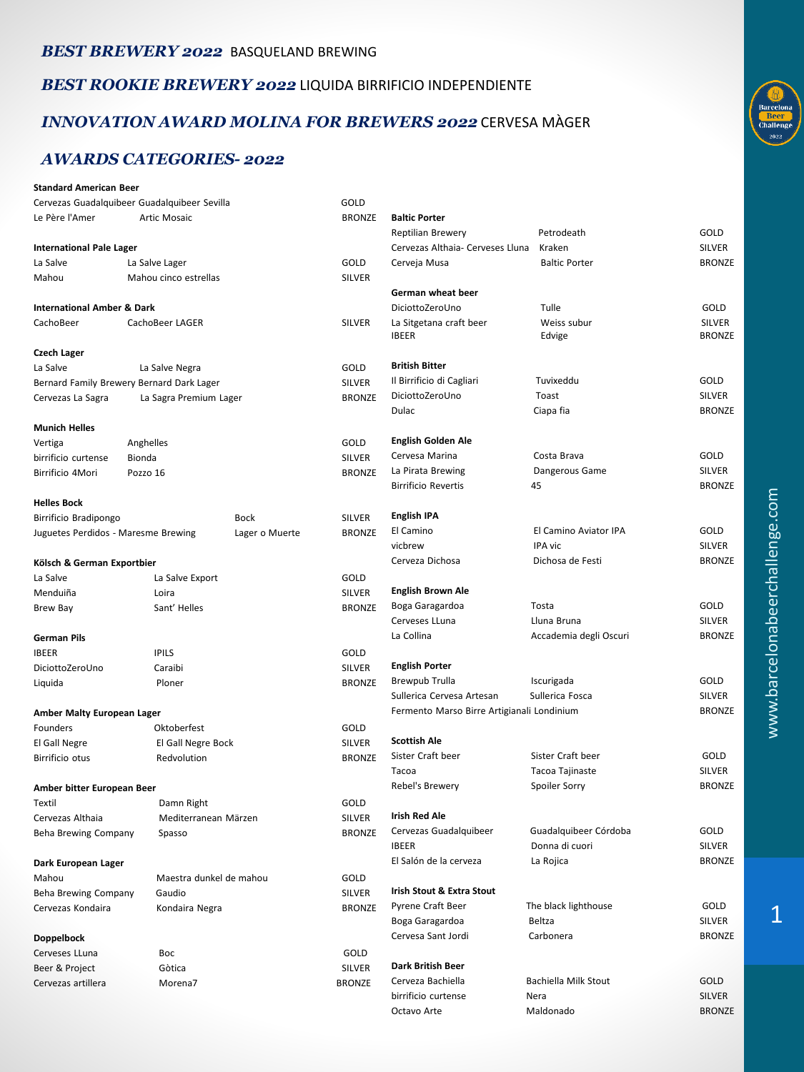#### *BEST BREWERY 2022* BASQUELAND BREWING

*BEST ROOKIE BREWERY 2022* LIQUIDA BIRRIFICIO INDEPENDIENTE

### *INNOVATION AWARD MOLINA FOR BREWERS 2022* CERVESA MÀGER

### *AWARDS CATEGORIES- 2022*

| <b>Standard American Beer</b>         |                                              |                      |                       |                                                                                            |                                  |                         |
|---------------------------------------|----------------------------------------------|----------------------|-----------------------|--------------------------------------------------------------------------------------------|----------------------------------|-------------------------|
|                                       | Cervezas Guadalquibeer Guadalquibeer Sevilla |                      | GOLD                  |                                                                                            |                                  |                         |
| Le Père l'Amer<br><b>Artic Mosaic</b> |                                              |                      | <b>BRONZE</b>         | <b>Baltic Porter</b>                                                                       |                                  |                         |
|                                       |                                              |                      |                       | Reptilian Brewery                                                                          | Petrodeath                       | GOLD                    |
| <b>International Pale Lager</b>       |                                              |                      |                       | Cervezas Althaia- Cerveses Lluna                                                           | Kraken                           | <b>SILVER</b>           |
| La Salve                              | La Salve Lager                               |                      | GOLD                  | Cerveja Musa                                                                               | <b>Baltic Porter</b>             | <b>BRONZE</b>           |
| Mahou                                 | Mahou cinco estrellas                        |                      | <b>SILVER</b>         |                                                                                            |                                  |                         |
|                                       |                                              |                      |                       | German wheat beer                                                                          |                                  |                         |
| <b>International Amber &amp; Dark</b> |                                              |                      |                       | DiciottoZeroUno                                                                            | Tulle                            | GOLD                    |
| CachoBeer                             | CachoBeer LAGER                              |                      | <b>SILVER</b>         | La Sitgetana craft beer                                                                    | Weiss subur                      | <b>SILVER</b>           |
|                                       |                                              |                      |                       | <b>IBEER</b>                                                                               | Edvige                           | <b>BRONZE</b>           |
| <b>Czech Lager</b>                    |                                              |                      |                       |                                                                                            |                                  |                         |
| La Salve                              | La Salve Negra                               |                      | GOLD                  | British Bitter                                                                             |                                  |                         |
|                                       | Bernard Family Brewery Bernard Dark Lager    |                      | <b>SILVER</b>         | Il Birrificio di Cagliari                                                                  | Tuvixeddu                        | GOLD                    |
| Cervezas La Sagra                     | La Sagra Premium Lager                       |                      | <b>BRONZE</b>         | DiciottoZeroUno                                                                            | Toast                            | <b>SILVER</b>           |
|                                       |                                              |                      |                       | Dulac                                                                                      | Ciapa fia                        | <b>BRONZE</b>           |
| <b>Munich Helles</b>                  |                                              |                      |                       |                                                                                            |                                  |                         |
| Vertiga                               | Anghelles                                    |                      | GOLD                  | English Golden Ale                                                                         |                                  |                         |
| birrificio curtense                   | Bionda                                       |                      | <b>SILVER</b>         | Cervesa Marina                                                                             | Costa Brava                      | GOLD                    |
| Birrificio 4Mori                      | Pozzo 16                                     |                      | <b>BRONZE</b>         | La Pirata Brewing                                                                          | Dangerous Game                   | <b>SILVER</b>           |
|                                       |                                              |                      |                       | <b>Birrificio Revertis</b>                                                                 | 45                               | <b>BRONZE</b>           |
| <b>Helles Bock</b>                    |                                              |                      |                       |                                                                                            |                                  |                         |
| Birrificio Bradipongo                 |                                              | <b>Bock</b>          | SILVER                | English IPA                                                                                |                                  |                         |
| Juguetes Perdidos - Maresme Brewing   |                                              | Lager o Muerte       | <b>BRONZE</b>         | El Camino                                                                                  | El Camino Aviator IPA            | GOLD                    |
|                                       |                                              |                      |                       | vicbrew                                                                                    | IPA vic                          | <b>SILVER</b>           |
| Kölsch & German Exportbier            |                                              |                      |                       | Cerveza Dichosa                                                                            | Dichosa de Festi                 | <b>BRONZE</b>           |
| La Salve                              | La Salve Export                              |                      | GOLD                  |                                                                                            |                                  |                         |
| Menduiña                              | Loira                                        |                      | <b>SILVER</b>         | English Brown Ale                                                                          |                                  |                         |
| Brew Bay                              | Sant' Helles                                 |                      | <b>BRONZE</b>         | Boga Garagardoa                                                                            | Tosta                            | GOLD                    |
|                                       |                                              |                      |                       | Cerveses LLuna                                                                             | Lluna Bruna                      | <b>SILVER</b>           |
| <b>German Pils</b>                    |                                              |                      |                       | La Collina                                                                                 | Accademia degli Oscuri           | <b>BRONZE</b>           |
| <b>IBEER</b>                          | <b>IPILS</b>                                 |                      | GOLD                  |                                                                                            |                                  |                         |
| DiciottoZeroUno                       | Caraibi                                      |                      | SILVER                | <b>English Porter</b>                                                                      |                                  |                         |
| Liquida                               | Ploner                                       |                      | <b>BRONZE</b>         | Brewpub Trulla                                                                             | Iscurigada                       | GOLD                    |
|                                       |                                              |                      |                       | Sullerica Cervesa Artesan<br>Sullerica Fosca<br>Fermento Marso Birre Artigianali Londinium |                                  | <b>SILVER</b>           |
| Amber Malty European Lager            |                                              |                      |                       |                                                                                            |                                  | <b>BRONZE</b>           |
| Founders                              | Oktoberfest                                  |                      | GOLD                  |                                                                                            |                                  |                         |
| El Gall Negre<br>El Gall Negre Bock   |                                              | <b>SILVER</b>        | <b>Scottish Ale</b>   |                                                                                            | GOLD                             |                         |
| Birrificio otus                       | Redvolution                                  |                      | <b>BRONZE</b>         | Sister Craft beer                                                                          | Sister Craft beer                |                         |
|                                       |                                              |                      |                       | Tacoa<br>Rebel's Brewery                                                                   | Tacoa Tajinaste<br>Spoiler Sorry | SILVER<br><b>BRONZE</b> |
| Amber bitter European Beer            |                                              |                      |                       |                                                                                            |                                  |                         |
| Textil                                | Damn Right                                   |                      | GOLD<br><b>SILVER</b> | <b>Irish Red Ale</b>                                                                       |                                  |                         |
| Cervezas Althaia                      |                                              | Mediterranean Märzen |                       | Cervezas Guadalquibeer                                                                     | Guadalquibeer Córdoba            | GOLD                    |
| Beha Brewing Company                  | Spasso                                       |                      | <b>BRONZE</b>         | <b>IBEER</b>                                                                               | Donna di cuori                   | <b>SILVER</b>           |
|                                       |                                              |                      |                       | El Salón de la cerveza                                                                     |                                  | <b>BRONZE</b>           |
| Dark European Lager                   |                                              |                      |                       |                                                                                            | La Rojica                        |                         |
| Mahou                                 | Maestra dunkel de mahou                      |                      | GOLD<br><b>SILVER</b> |                                                                                            |                                  |                         |
| Beha Brewing Company                  | Gaudio                                       |                      |                       | Irish Stout & Extra Stout<br>Pyrene Craft Beer                                             | The black lighthouse             | GOLD                    |
| Cervezas Kondaira                     | Kondaira Negra                               |                      | <b>BRONZE</b>         | Boga Garagardoa                                                                            | Beltza                           | SILVER                  |
|                                       |                                              |                      | Cervesa Sant Jordi    | Carbonera                                                                                  | <b>BRONZE</b>                    |                         |
| <b>Doppelbock</b>                     |                                              |                      |                       |                                                                                            |                                  |                         |
| Cerveses LLuna<br>Boc                 |                                              | GOLD                 | Dark British Beer     |                                                                                            |                                  |                         |
| Beer & Project<br>Gòtica              |                                              | SILVER               | Cerveza Bachiella     | Bachiella Milk Stout                                                                       | GOLD                             |                         |
| Cervezas artillera                    | Morena7                                      |                      | <b>BRONZE</b>         | birrificio curtense                                                                        | Nera                             | <b>SILVER</b>           |
|                                       |                                              |                      |                       | Octavo Arte                                                                                | Maldonado                        | <b>BRONZE</b>           |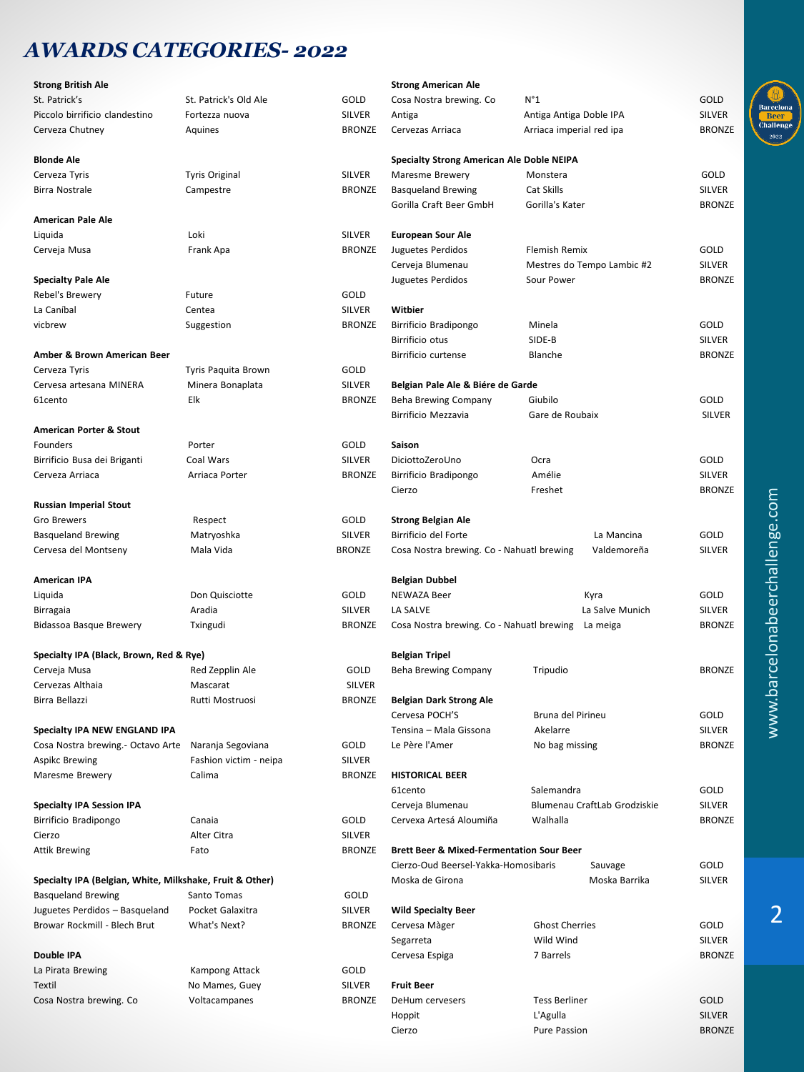## *AWARDS CATEGORIES- 2022*

| <b>Strong British Ale</b>                                |                        |               | <b>Strong American Ale</b>                           |                              |               |
|----------------------------------------------------------|------------------------|---------------|------------------------------------------------------|------------------------------|---------------|
| St. Patrick's                                            | St. Patrick's Old Ale  | GOLD          | Cosa Nostra brewing. Co                              | $N^{\circ}1$                 | GOLD          |
| Piccolo birrificio clandestino                           | Fortezza nuova         | <b>SILVER</b> | Antiga                                               | Antiga Antiga Doble IPA      | <b>SILVER</b> |
| Cerveza Chutney                                          | Aquines                | <b>BRONZE</b> | Cervezas Arriaca                                     | Arriaca imperial red ipa     | <b>BRONZE</b> |
|                                                          |                        |               |                                                      |                              |               |
| <b>Blonde Ale</b>                                        |                        |               | Specialty Strong American Ale Doble NEIPA            |                              |               |
| Cerveza Tyris                                            | <b>Tyris Original</b>  | SILVER        | Maresme Brewery                                      | Monstera                     | GOLD          |
| <b>Birra Nostrale</b>                                    | Campestre              | <b>BRONZE</b> | <b>Basqueland Brewing</b>                            | Cat Skills                   | <b>SILVER</b> |
|                                                          |                        |               | Gorilla Craft Beer GmbH                              | Gorilla's Kater              | <b>BRONZE</b> |
| <b>American Pale Ale</b>                                 |                        |               |                                                      |                              |               |
| Liquida                                                  | Loki                   | SILVER        | <b>European Sour Ale</b>                             |                              |               |
| Cerveja Musa                                             | Frank Apa              | <b>BRONZE</b> | Juguetes Perdidos                                    | <b>Flemish Remix</b>         | GOLD          |
|                                                          |                        |               | Cerveja Blumenau                                     | Mestres do Tempo Lambic #2   | <b>SILVER</b> |
| <b>Specialty Pale Ale</b>                                |                        |               |                                                      | Sour Power                   | <b>BRONZE</b> |
|                                                          |                        | GOLD          | Juguetes Perdidos                                    |                              |               |
| Rebel's Brewery                                          | Future                 |               |                                                      |                              |               |
| La Caníbal                                               | Centea                 | <b>SILVER</b> | Witbier                                              |                              |               |
| vicbrew                                                  | Suggestion             | <b>BRONZE</b> | Birrificio Bradipongo                                | Minela                       | GOLD          |
|                                                          |                        |               | Birrificio otus                                      | SIDE-B                       | <b>SILVER</b> |
| Amber & Brown American Beer                              |                        |               | Birrificio curtense                                  | Blanche                      | <b>BRONZE</b> |
| Cerveza Tyris                                            | Tyris Paquita Brown    | GOLD          |                                                      |                              |               |
| Cervesa artesana MINERA                                  | Minera Bonaplata       | <b>SILVER</b> | Belgian Pale Ale & Biére de Garde                    |                              |               |
| 61cento                                                  | Elk                    | <b>BRONZE</b> | <b>Beha Brewing Company</b>                          | Giubilo                      | GOLD          |
|                                                          |                        |               | Birrificio Mezzavia                                  | Gare de Roubaix              | <b>SILVER</b> |
| <b>American Porter &amp; Stout</b>                       |                        |               |                                                      |                              |               |
| Founders                                                 | Porter                 | GOLD          | Saison                                               |                              |               |
| Birrificio Busa dei Briganti                             | Coal Wars              | SILVER        | DiciottoZeroUno                                      | Ocra                         | GOLD          |
| Cerveza Arriaca                                          | Arriaca Porter         | <b>BRONZE</b> | Birrificio Bradipongo                                | Amélie                       | <b>SILVER</b> |
|                                                          |                        |               | Cierzo                                               | Freshet                      | <b>BRONZE</b> |
| <b>Russian Imperial Stout</b>                            |                        |               |                                                      |                              |               |
| Gro Brewers                                              | Respect                | GOLD          | <b>Strong Belgian Ale</b>                            |                              |               |
| <b>Basqueland Brewing</b>                                | Matryoshka             | <b>SILVER</b> | Birrificio del Forte                                 | La Mancina                   | GOLD          |
| Cervesa del Montseny                                     | Mala Vida              | <b>BRONZE</b> | Cosa Nostra brewing. Co - Nahuatl brewing            | Valdemoreña                  | <b>SILVER</b> |
|                                                          |                        |               |                                                      |                              |               |
| <b>American IPA</b>                                      |                        |               | <b>Belgian Dubbel</b>                                |                              |               |
| Liquida                                                  | Don Quisciotte         | GOLD          | NEWAZA Beer                                          | Kyra                         | GOLD          |
| Birragaia                                                | Aradia                 | SILVER        | LA SALVE                                             | La Salve Munich              | <b>SILVER</b> |
| Bidassoa Basque Brewery                                  | Txingudi               | <b>BRONZE</b> | Cosa Nostra brewing. Co - Nahuatl brewing            | La meiga                     | <b>BRONZE</b> |
|                                                          |                        |               |                                                      |                              |               |
|                                                          |                        |               | <b>Belgian Tripel</b>                                |                              |               |
| Specialty IPA (Black, Brown, Red & Rye)                  |                        | GOLD          |                                                      |                              | <b>BRONZE</b> |
| Cerveja Musa                                             | Red Zepplin Ale        |               | Beha Brewing Company                                 | Tripudio                     |               |
| Cervezas Althaia                                         | Mascarat               | <b>SILVER</b> |                                                      |                              |               |
| Birra Bellazzi                                           | Rutti Mostruosi        | <b>BRONZE</b> | <b>Belgian Dark Strong Ale</b>                       |                              |               |
|                                                          |                        |               | Cervesa POCH'S                                       | Bruna del Pirineu            | GOLD          |
| Specialty IPA NEW ENGLAND IPA                            |                        |               | Tensina - Mala Gissona                               | Akelarre                     | <b>SILVER</b> |
| Cosa Nostra brewing.- Octavo Arte Naranja Segoviana      |                        | GOLD          | Le Père l'Amer                                       | No bag missing               | <b>BRONZE</b> |
| <b>Aspikc Brewing</b>                                    | Fashion victim - neipa | <b>SILVER</b> |                                                      |                              |               |
| Maresme Brewery                                          | Calima                 | <b>BRONZE</b> | <b>HISTORICAL BEER</b>                               |                              |               |
|                                                          |                        |               | 61cento                                              | Salemandra                   | GOLD          |
| <b>Specialty IPA Session IPA</b>                         |                        |               | Cerveja Blumenau                                     | Blumenau CraftLab Grodziskie | <b>SILVER</b> |
| Birrificio Bradipongo                                    | Canaia                 | GOLD          | Cervexa Artesá Aloumiña                              | Walhalla                     | <b>BRONZE</b> |
| Cierzo                                                   | Alter Citra            | SILVER        |                                                      |                              |               |
| <b>Attik Brewing</b>                                     | Fato                   | <b>BRONZE</b> | <b>Brett Beer &amp; Mixed-Fermentation Sour Beer</b> |                              |               |
|                                                          |                        |               | Cierzo-Oud Beersel-Yakka-Homosibaris<br>Sauvage      |                              | GOLD          |
| Specialty IPA (Belgian, White, Milkshake, Fruit & Other) |                        |               | Moska de Girona                                      | Moska Barrika                | <b>SILVER</b> |
| <b>Basqueland Brewing</b>                                | Santo Tomas            | GOLD          |                                                      |                              |               |
| Juguetes Perdidos - Basqueland                           | Pocket Galaxitra       | <b>SILVER</b> | <b>Wild Specialty Beer</b>                           |                              |               |
| Browar Rockmill - Blech Brut                             | What's Next?           | <b>BRONZE</b> | Cervesa Màger                                        | <b>Ghost Cherries</b>        | GOLD          |
|                                                          |                        |               | Segarreta                                            | Wild Wind                    | <b>SILVER</b> |
| Double IPA                                               |                        |               | Cervesa Espiga                                       | 7 Barrels                    | <b>BRONZE</b> |
| La Pirata Brewing                                        | Kampong Attack         | GOLD          |                                                      |                              |               |
| Textil                                                   | No Mames, Guey         | <b>SILVER</b> | <b>Fruit Beer</b>                                    |                              |               |
| Cosa Nostra brewing. Co                                  | Voltacampanes          | <b>BRONZE</b> | DeHum cervesers                                      | <b>Tess Berliner</b>         | GOLD          |
|                                                          |                        |               | Hoppit                                               | L'Agulla                     | <b>SILVER</b> |
|                                                          |                        |               |                                                      |                              | <b>BRONZE</b> |
|                                                          |                        |               | Cierzo                                               | Pure Passion                 |               |



 $\overline{2}$